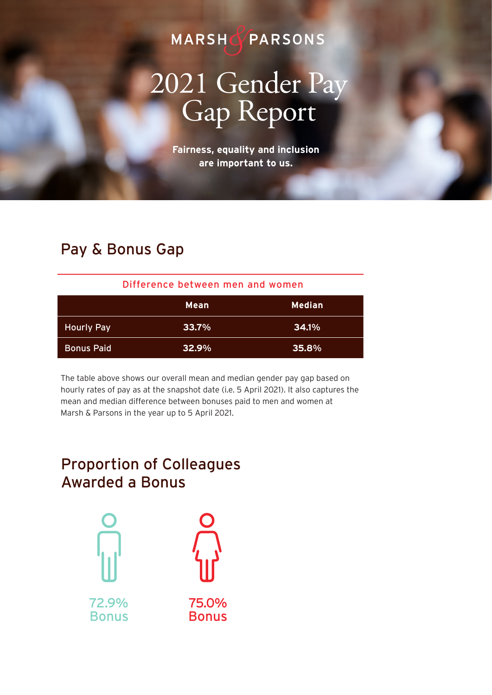## MARSHOPARSONS

# 2021 Gender Pay<br>Gap Report

**Fairness, equality and inclusion are important to us.** 

#### Pay & Bonus Gap

| Difference between men and women |             |               |
|----------------------------------|-------------|---------------|
|                                  | <b>Mean</b> | <b>Median</b> |
| <b>Hourly Pay</b>                | $33.7\%$    | <b>34.1%</b>  |
| <b>Bonus Paid</b>                | $32.9\%$    | 35.8%         |

The table above shows our overall mean and median gender pay gap based on hourly rates of pay as at the snapshot date (i.e. 5 April 2021). It also captures the mean and median difference between bonuses paid to men and women at Marsh & Parsons in the year up to 5 April 2021.

### Proportion of Colleagues Awarded a Bonus